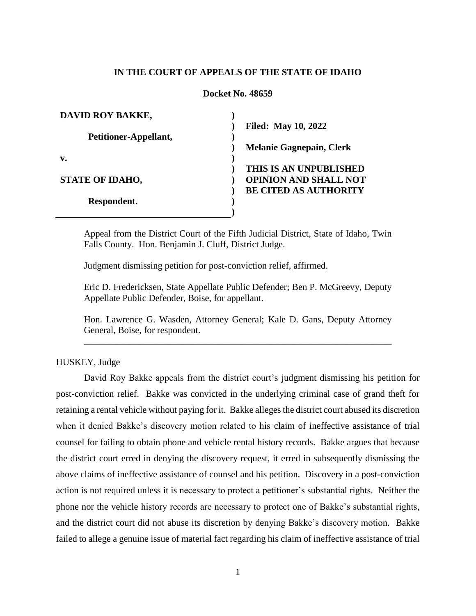# **IN THE COURT OF APPEALS OF THE STATE OF IDAHO**

## **Docket No. 48659**

| <b>DAVID ROY BAKKE,</b> |                                 |
|-------------------------|---------------------------------|
|                         | <b>Filed: May 10, 2022</b>      |
| Petitioner-Appellant,   |                                 |
|                         | <b>Melanie Gagnepain, Clerk</b> |
| v.                      |                                 |
|                         | THIS IS AN UNPUBLISHED          |
| <b>STATE OF IDAHO,</b>  | <b>OPINION AND SHALL NOT</b>    |
|                         | <b>BE CITED AS AUTHORITY</b>    |
| Respondent.             |                                 |
|                         |                                 |

Appeal from the District Court of the Fifth Judicial District, State of Idaho, Twin Falls County. Hon. Benjamin J. Cluff, District Judge.

Judgment dismissing petition for post-conviction relief, affirmed.

Eric D. Fredericksen, State Appellate Public Defender; Ben P. McGreevy, Deputy Appellate Public Defender, Boise, for appellant.

Hon. Lawrence G. Wasden, Attorney General; Kale D. Gans, Deputy Attorney General, Boise, for respondent. \_\_\_\_\_\_\_\_\_\_\_\_\_\_\_\_\_\_\_\_\_\_\_\_\_\_\_\_\_\_\_\_\_\_\_\_\_\_\_\_\_\_\_\_\_\_\_\_\_\_\_\_\_\_\_\_\_\_\_\_\_\_\_\_\_\_

HUSKEY, Judge

David Roy Bakke appeals from the district court's judgment dismissing his petition for post-conviction relief. Bakke was convicted in the underlying criminal case of grand theft for retaining a rental vehicle without paying for it. Bakke alleges the district court abused its discretion when it denied Bakke's discovery motion related to his claim of ineffective assistance of trial counsel for failing to obtain phone and vehicle rental history records. Bakke argues that because the district court erred in denying the discovery request, it erred in subsequently dismissing the above claims of ineffective assistance of counsel and his petition. Discovery in a post-conviction action is not required unless it is necessary to protect a petitioner's substantial rights. Neither the phone nor the vehicle history records are necessary to protect one of Bakke's substantial rights, and the district court did not abuse its discretion by denying Bakke's discovery motion. Bakke failed to allege a genuine issue of material fact regarding his claim of ineffective assistance of trial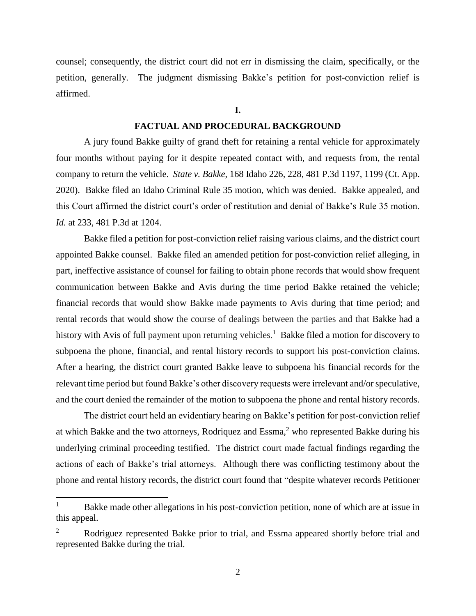counsel; consequently, the district court did not err in dismissing the claim, specifically, or the petition, generally. The judgment dismissing Bakke's petition for post-conviction relief is affirmed.

**I.**

## **FACTUAL AND PROCEDURAL BACKGROUND**

A jury found Bakke guilty of grand theft for retaining a rental vehicle for approximately four months without paying for it despite repeated contact with, and requests from, the rental company to return the vehicle. *State v. Bakke*, 168 Idaho 226, 228, 481 P.3d 1197, 1199 (Ct. App. 2020). Bakke filed an Idaho Criminal Rule 35 motion, which was denied. Bakke appealed, and this Court affirmed the district court's order of restitution and denial of Bakke's Rule 35 motion. *Id.* at 233, 481 P.3d at 1204.

Bakke filed a petition for post-conviction relief raising various claims, and the district court appointed Bakke counsel. Bakke filed an amended petition for post-conviction relief alleging, in part, ineffective assistance of counsel for failing to obtain phone records that would show frequent communication between Bakke and Avis during the time period Bakke retained the vehicle; financial records that would show Bakke made payments to Avis during that time period; and rental records that would show the course of dealings between the parties and that Bakke had a history with Avis of full payment upon returning vehicles.<sup>1</sup> Bakke filed a motion for discovery to subpoena the phone, financial, and rental history records to support his post-conviction claims. After a hearing, the district court granted Bakke leave to subpoena his financial records for the relevant time period but found Bakke's other discovery requests were irrelevant and/or speculative, and the court denied the remainder of the motion to subpoena the phone and rental history records.

The district court held an evidentiary hearing on Bakke's petition for post-conviction relief at which Bakke and the two attorneys, Rodriquez and Essma,<sup>2</sup> who represented Bakke during his underlying criminal proceeding testified. The district court made factual findings regarding the actions of each of Bakke's trial attorneys. Although there was conflicting testimony about the phone and rental history records, the district court found that "despite whatever records Petitioner

 $\overline{a}$ 

Bakke made other allegations in his post-conviction petition, none of which are at issue in this appeal.

<sup>&</sup>lt;sup>2</sup> Rodriguez represented Bakke prior to trial, and Essma appeared shortly before trial and represented Bakke during the trial.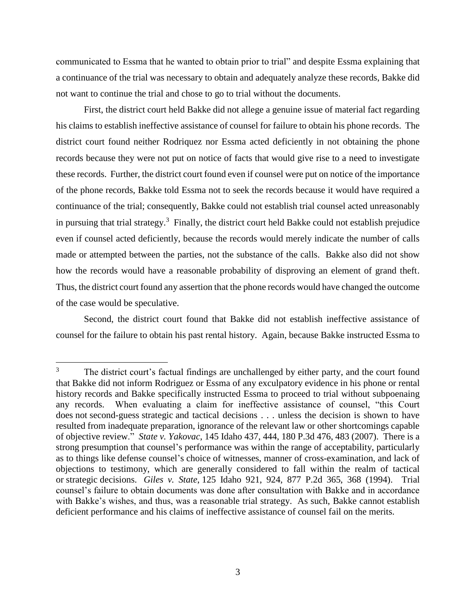communicated to Essma that he wanted to obtain prior to trial" and despite Essma explaining that a continuance of the trial was necessary to obtain and adequately analyze these records, Bakke did not want to continue the trial and chose to go to trial without the documents.

First, the district court held Bakke did not allege a genuine issue of material fact regarding his claims to establish ineffective assistance of counsel for failure to obtain his phone records. The district court found neither Rodriquez nor Essma acted deficiently in not obtaining the phone records because they were not put on notice of facts that would give rise to a need to investigate these records. Further, the district court found even if counsel were put on notice of the importance of the phone records, Bakke told Essma not to seek the records because it would have required a continuance of the trial; consequently, Bakke could not establish trial counsel acted unreasonably in pursuing that trial strategy. 3 Finally, the district court held Bakke could not establish prejudice even if counsel acted deficiently, because the records would merely indicate the number of calls made or attempted between the parties, not the substance of the calls. Bakke also did not show how the records would have a reasonable probability of disproving an element of grand theft. Thus, the district court found any assertion that the phone records would have changed the outcome of the case would be speculative.

Second, the district court found that Bakke did not establish ineffective assistance of counsel for the failure to obtain his past rental history. Again, because Bakke instructed Essma to

 $\overline{a}$ 

<sup>&</sup>lt;sup>3</sup> The district court's factual findings are unchallenged by either party, and the court found that Bakke did not inform Rodriguez or Essma of any exculpatory evidence in his phone or rental history records and Bakke specifically instructed Essma to proceed to trial without subpoenaing any records. When evaluating a claim for ineffective assistance of counsel, "this Court does not second-guess strategic and tactical decisions . . . unless the decision is shown to have resulted from inadequate preparation, ignorance of the relevant law or other shortcomings capable of objective review." *State v. Yakovac*, 145 Idaho 437, 444, 180 P.3d 476, 483 (2007). There is a strong presumption that counsel's performance was within the range of acceptability, particularly as to things like defense counsel's choice of witnesses, manner of cross-examination, and lack of objections to testimony, which are generally considered to fall within the realm of tactical or strategic decisions. *Giles v. State*, 125 Idaho 921, 924, 877 P.2d 365, 368 (1994). Trial counsel's failure to obtain documents was done after consultation with Bakke and in accordance with Bakke's wishes, and thus, was a reasonable trial strategy. As such, Bakke cannot establish deficient performance and his claims of ineffective assistance of counsel fail on the merits.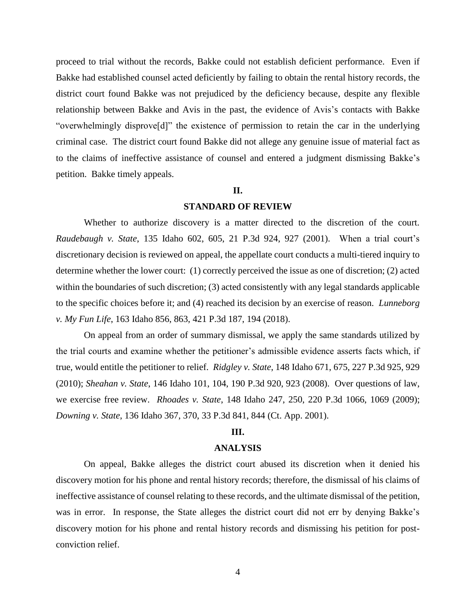proceed to trial without the records, Bakke could not establish deficient performance. Even if Bakke had established counsel acted deficiently by failing to obtain the rental history records, the district court found Bakke was not prejudiced by the deficiency because, despite any flexible relationship between Bakke and Avis in the past, the evidence of Avis's contacts with Bakke "overwhelmingly disprove[d]" the existence of permission to retain the car in the underlying criminal case. The district court found Bakke did not allege any genuine issue of material fact as to the claims of ineffective assistance of counsel and entered a judgment dismissing Bakke's petition. Bakke timely appeals.

## **II.**

#### **STANDARD OF REVIEW**

Whether to authorize discovery is a matter directed to the discretion of the court. *Raudebaugh v. State*, 135 Idaho 602, 605, 21 P.3d 924, 927 (2001). When a trial court's discretionary decision is reviewed on appeal, the appellate court conducts a multi-tiered inquiry to determine whether the lower court: (1) correctly perceived the issue as one of discretion; (2) acted within the boundaries of such discretion; (3) acted consistently with any legal standards applicable to the specific choices before it; and (4) reached its decision by an exercise of reason. *Lunneborg v. My Fun Life*, 163 Idaho 856, 863, 421 P.3d 187, 194 (2018).

On appeal from an order of summary dismissal, we apply the same standards utilized by the trial courts and examine whether the petitioner's admissible evidence asserts facts which, if true, would entitle the petitioner to relief. *Ridgley v. State*, 148 Idaho 671, 675, 227 P.3d 925, 929 (2010); *Sheahan v. State*, 146 Idaho 101, 104, 190 P.3d 920, 923 (2008). Over questions of law, we exercise free review. *Rhoades v. State*, 148 Idaho 247, 250, 220 P.3d 1066, 1069 (2009); *Downing v. State*, 136 Idaho 367, 370, 33 P.3d 841, 844 (Ct. App. 2001).

## **III.**

### **ANALYSIS**

On appeal, Bakke alleges the district court abused its discretion when it denied his discovery motion for his phone and rental history records; therefore, the dismissal of his claims of ineffective assistance of counsel relating to these records, and the ultimate dismissal of the petition, was in error. In response, the State alleges the district court did not err by denying Bakke's discovery motion for his phone and rental history records and dismissing his petition for postconviction relief.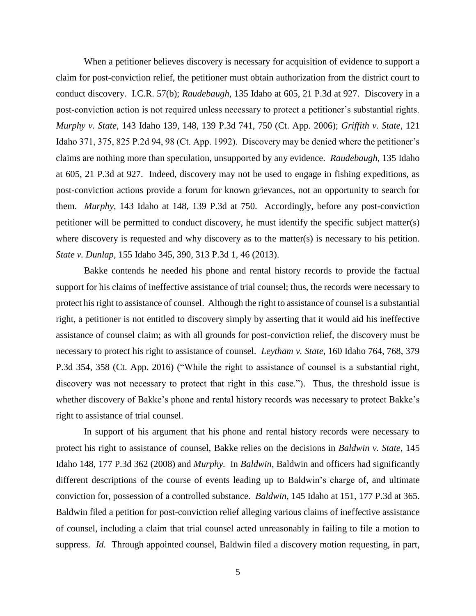When a petitioner believes discovery is necessary for acquisition of evidence to support a claim for post-conviction relief, the petitioner must obtain authorization from the district court to conduct discovery. I.C.R. 57(b); *Raudebaugh*, 135 Idaho at 605, 21 P.3d at 927. Discovery in a post-conviction action is not required unless necessary to protect a petitioner's substantial rights. *Murphy v. State*, 143 Idaho 139, 148, 139 P.3d 741, 750 (Ct. App. 2006); *Griffith v. State*, 121 Idaho 371, 375, 825 P.2d 94, 98 (Ct. App. 1992). Discovery may be denied where the petitioner's claims are nothing more than speculation, unsupported by any evidence. *Raudebaugh*, 135 Idaho at 605, 21 P.3d at 927. Indeed, discovery may not be used to engage in fishing expeditions, as post-conviction actions provide a forum for known grievances, not an opportunity to search for them. *Murphy*, 143 Idaho at 148, 139 P.3d at 750. Accordingly, before any post-conviction petitioner will be permitted to conduct discovery, he must identify the specific subject matter(s) where discovery is requested and why discovery as to the matter(s) is necessary to his petition. *State v. Dunlap*, 155 Idaho 345, 390, 313 P.3d 1, 46 (2013).

Bakke contends he needed his phone and rental history records to provide the factual support for his claims of ineffective assistance of trial counsel; thus, the records were necessary to protect his right to assistance of counsel. Although the right to assistance of counsel is a substantial right, a petitioner is not entitled to discovery simply by asserting that it would aid his ineffective assistance of counsel claim; as with all grounds for post-conviction relief, the discovery must be necessary to protect his right to assistance of counsel. *Leytham v. State*, 160 Idaho 764, 768, 379 P.3d 354, 358 (Ct. App. 2016) ("While the right to assistance of counsel is a substantial right, discovery was not necessary to protect that right in this case."). Thus, the threshold issue is whether discovery of Bakke's phone and rental history records was necessary to protect Bakke's right to assistance of trial counsel.

In support of his argument that his phone and rental history records were necessary to protect his right to assistance of counsel, Bakke relies on the decisions in *Baldwin v. State*, 145 Idaho 148, 177 P.3d 362 (2008) and *Murphy.* In *Baldwin*, Baldwin and officers had significantly different descriptions of the course of events leading up to Baldwin's charge of, and ultimate conviction for, possession of a controlled substance. *Baldwin*, 145 Idaho at 151, 177 P.3d at 365. Baldwin filed a petition for post-conviction relief alleging various claims of ineffective assistance of counsel, including a claim that trial counsel acted unreasonably in failing to file a motion to suppress. *Id.* Through appointed counsel, Baldwin filed a discovery motion requesting, in part,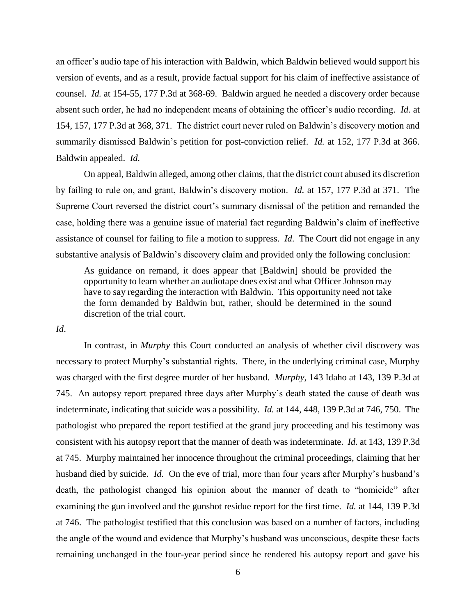an officer's audio tape of his interaction with Baldwin, which Baldwin believed would support his version of events, and as a result, provide factual support for his claim of ineffective assistance of counsel. *Id.* at 154-55, 177 P.3d at 368-69. Baldwin argued he needed a discovery order because absent such order, he had no independent means of obtaining the officer's audio recording. *Id.* at 154, 157, 177 P.3d at 368, 371. The district court never ruled on Baldwin's discovery motion and summarily dismissed Baldwin's petition for post-conviction relief. *Id.* at 152, 177 P.3d at 366. Baldwin appealed. *Id.*

On appeal, Baldwin alleged, among other claims, that the district court abused its discretion by failing to rule on, and grant, Baldwin's discovery motion. *Id.* at 157, 177 P.3d at 371. The Supreme Court reversed the district court's summary dismissal of the petition and remanded the case, holding there was a genuine issue of material fact regarding Baldwin's claim of ineffective assistance of counsel for failing to file a motion to suppress. *Id*. The Court did not engage in any substantive analysis of Baldwin's discovery claim and provided only the following conclusion:

As guidance on remand, it does appear that [Baldwin] should be provided the opportunity to learn whether an audiotape does exist and what Officer Johnson may have to say regarding the interaction with Baldwin. This opportunity need not take the form demanded by Baldwin but, rather, should be determined in the sound discretion of the trial court.

*Id*.

In contrast, in *Murphy* this Court conducted an analysis of whether civil discovery was necessary to protect Murphy's substantial rights. There, in the underlying criminal case, Murphy was charged with the first degree murder of her husband. *Murphy*, 143 Idaho at 143, 139 P.3d at 745. An autopsy report prepared three days after Murphy's death stated the cause of death was indeterminate, indicating that suicide was a possibility. *Id.* at 144, 448, 139 P.3d at 746, 750. The pathologist who prepared the report testified at the grand jury proceeding and his testimony was consistent with his autopsy report that the manner of death was indeterminate. *Id.* at 143, 139 P.3d at 745. Murphy maintained her innocence throughout the criminal proceedings, claiming that her husband died by suicide. *Id.* On the eve of trial, more than four years after Murphy's husband's death, the pathologist changed his opinion about the manner of death to "homicide" after examining the gun involved and the gunshot residue report for the first time. *Id.* at 144, 139 P.3d at 746. The pathologist testified that this conclusion was based on a number of factors, including the angle of the wound and evidence that Murphy's husband was unconscious, despite these facts remaining unchanged in the four-year period since he rendered his autopsy report and gave his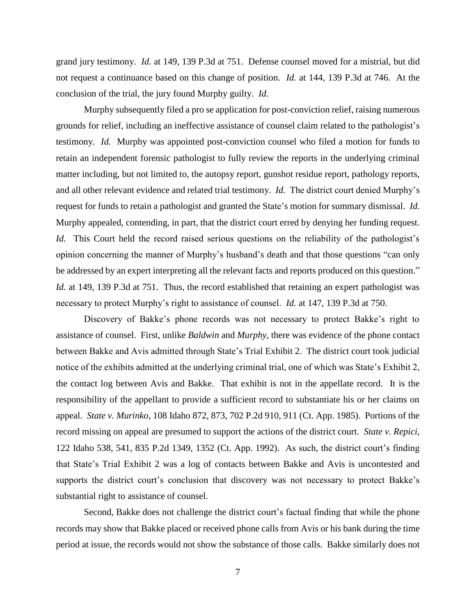grand jury testimony. *Id.* at 149, 139 P.3d at 751. Defense counsel moved for a mistrial, but did not request a continuance based on this change of position. *Id.* at 144, 139 P.3d at 746. At the conclusion of the trial, the jury found Murphy guilty. *Id.*

Murphy subsequently filed a pro se application for post-conviction relief, raising numerous grounds for relief, including an ineffective assistance of counsel claim related to the pathologist's testimony. *Id.* Murphy was appointed post-conviction counsel who filed a motion for funds to retain an independent forensic pathologist to fully review the reports in the underlying criminal matter including, but not limited to, the autopsy report, gunshot residue report, pathology reports, and all other relevant evidence and related trial testimony. *Id.* The district court denied Murphy's request for funds to retain a pathologist and granted the State's motion for summary dismissal. *Id.* Murphy appealed, contending, in part, that the district court erred by denying her funding request. *Id.* This Court held the record raised serious questions on the reliability of the pathologist's opinion concerning the manner of Murphy's husband's death and that those questions "can only be addressed by an expert interpreting all the relevant facts and reports produced on this question." *Id.* at 149, 139 P.3d at 751. Thus, the record established that retaining an expert pathologist was necessary to protect Murphy's right to assistance of counsel. *Id.* at 147, 139 P.3d at 750.

Discovery of Bakke's phone records was not necessary to protect Bakke's right to assistance of counsel. First, unlike *Baldwin* and *Murphy*, there was evidence of the phone contact between Bakke and Avis admitted through State's Trial Exhibit 2. The district court took judicial notice of the exhibits admitted at the underlying criminal trial, one of which was State's Exhibit 2, the contact log between Avis and Bakke. That exhibit is not in the appellate record. It is the responsibility of the appellant to provide a sufficient record to substantiate his or her claims on appeal. *State v. Murinko*, 108 Idaho 872, 873, 702 P.2d 910, 911 (Ct. App. 1985). Portions of the record missing on appeal are presumed to support the actions of the district court. *State v. Repici*, 122 Idaho 538, 541, 835 P.2d 1349, 1352 (Ct. App. 1992). As such, the district court's finding that State's Trial Exhibit 2 was a log of contacts between Bakke and Avis is uncontested and supports the district court's conclusion that discovery was not necessary to protect Bakke's substantial right to assistance of counsel.

Second, Bakke does not challenge the district court's factual finding that while the phone records may show that Bakke placed or received phone calls from Avis or his bank during the time period at issue, the records would not show the substance of those calls. Bakke similarly does not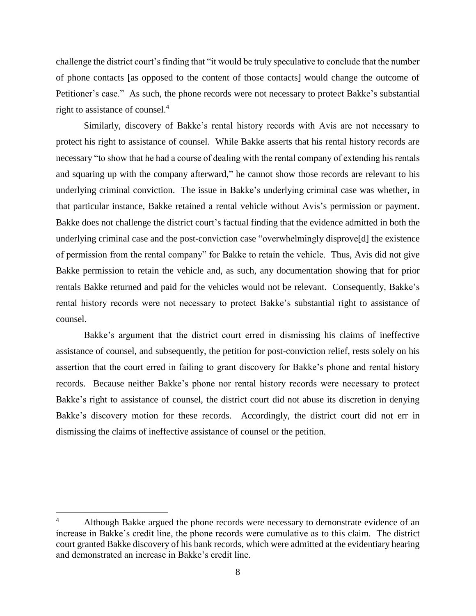challenge the district court's finding that "it would be truly speculative to conclude that the number of phone contacts [as opposed to the content of those contacts] would change the outcome of Petitioner's case." As such, the phone records were not necessary to protect Bakke's substantial right to assistance of counsel. 4

Similarly, discovery of Bakke's rental history records with Avis are not necessary to protect his right to assistance of counsel. While Bakke asserts that his rental history records are necessary "to show that he had a course of dealing with the rental company of extending his rentals and squaring up with the company afterward," he cannot show those records are relevant to his underlying criminal conviction. The issue in Bakke's underlying criminal case was whether, in that particular instance, Bakke retained a rental vehicle without Avis's permission or payment. Bakke does not challenge the district court's factual finding that the evidence admitted in both the underlying criminal case and the post-conviction case "overwhelmingly disprove[d] the existence of permission from the rental company" for Bakke to retain the vehicle. Thus, Avis did not give Bakke permission to retain the vehicle and, as such, any documentation showing that for prior rentals Bakke returned and paid for the vehicles would not be relevant. Consequently, Bakke's rental history records were not necessary to protect Bakke's substantial right to assistance of counsel.

Bakke's argument that the district court erred in dismissing his claims of ineffective assistance of counsel, and subsequently, the petition for post-conviction relief, rests solely on his assertion that the court erred in failing to grant discovery for Bakke's phone and rental history records. Because neither Bakke's phone nor rental history records were necessary to protect Bakke's right to assistance of counsel, the district court did not abuse its discretion in denying Bakke's discovery motion for these records. Accordingly, the district court did not err in dismissing the claims of ineffective assistance of counsel or the petition.

 $\overline{a}$ 

<sup>4</sup> Although Bakke argued the phone records were necessary to demonstrate evidence of an increase in Bakke's credit line, the phone records were cumulative as to this claim. The district court granted Bakke discovery of his bank records, which were admitted at the evidentiary hearing and demonstrated an increase in Bakke's credit line.